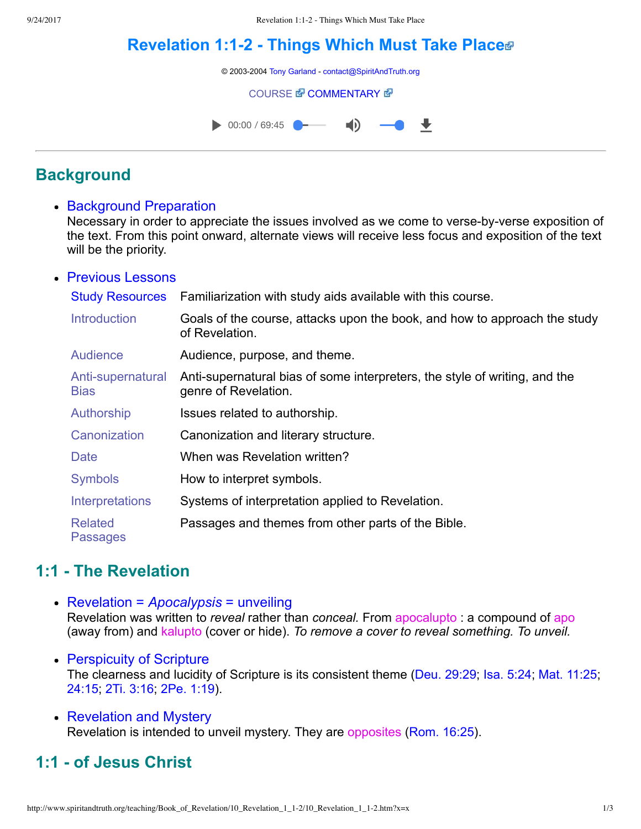# **[Revelation 1:12 Things Which Must Take Place](http://www.spiritandtruth.org/teaching/Book_of_Revelation/10_Revelation_1_1-2/index.htm)**

© 2003-2004 [Tony Garland](http://www.spiritandtruth.org/teaching/teachers/tony_garland/bio.htm) - [contact@SpiritAndTruth.org](mailto:contact@SpiritAndTruth.org?subject=ST-MAIL:%20Revelation%201:1-2%20-%20Things%20Which%20Must%20Shortly%20Take%20Place)

#### **[COURSE](http://www.spiritandtruth.org/teaching/Book_of_Revelation/10_Revelation_1_1-2/index.htm) & [COMMENTARY](http://www.spiritandtruth.org/teaching/Book_of_Revelation/commentary/htm/index.html?Revelation_1:1) &**



# **Background**

• Background Preparation

Necessary in order to appreciate the issues involved as we come to verse-by-verse exposition of the text. From this point onward, alternate views will receive less focus and exposition of the text will be the priority.

#### Previous Lessons

| <b>Study Resources</b>            | Familiarization with study aids available with this course.                                        |
|-----------------------------------|----------------------------------------------------------------------------------------------------|
| <b>Introduction</b>               | Goals of the course, attacks upon the book, and how to approach the study<br>of Revelation.        |
| Audience                          | Audience, purpose, and theme.                                                                      |
| Anti-supernatural<br><b>Bias</b>  | Anti-supernatural bias of some interpreters, the style of writing, and the<br>genre of Revelation. |
| Authorship                        | Issues related to authorship.                                                                      |
| Canonization                      | Canonization and literary structure.                                                               |
| <b>Date</b>                       | When was Revelation written?                                                                       |
| <b>Symbols</b>                    | How to interpret symbols.                                                                          |
| Interpretations                   | Systems of interpretation applied to Revelation.                                                   |
| <b>Related</b><br><b>Passages</b> | Passages and themes from other parts of the Bible.                                                 |

# **1:1 The Revelation**

- Revelation = *Apocalypsis* = unveiling Revelation was written to *reveal* rather than *conceal.* From apocalupto : a compound of apo (away from) and kalupto (cover or hide). *To remove a cover to reveal something. To unveil.*
- Perspicuity of Scripture The clearness and lucidity of Scripture is its consistent theme ([Deu. 29:29](http://www.spiritandtruth.org/bibles/nasb/b05c029.htm#Deu._C29V29); [Isa. 5:24;](http://www.spiritandtruth.org/bibles/nasb/b23c005.htm#Isa._C5V24) [Mat. 11:25;](http://www.spiritandtruth.org/bibles/nasb/b40c011.htm#Mat._C11V25) [24:15](http://www.spiritandtruth.org/bibles/nasb/b40c024.htm#Mat._C24V15); [2Ti. 3:16](http://www.spiritandtruth.org/bibles/nasb/b55c003.htm#2Ti._C3V16); [2Pe. 1:19](http://www.spiritandtruth.org/bibles/nasb/b61c001.htm#2Pe._C1V19)).
- Revelation and Mystery Revelation is intended to unveil mystery. They are opposites ([Rom. 16:25](http://www.spiritandtruth.org/bibles/nasb/b45c016.htm#Rom._C16V25)).

# **1:1 of Jesus Christ**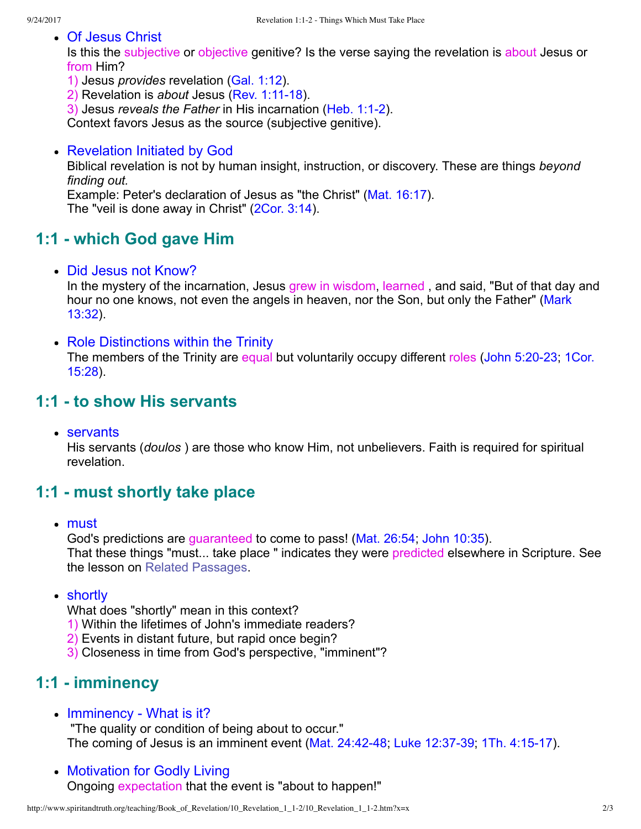Of Jesus Christ

Is this the subjective or objective genitive? Is the verse saying the revelation is about Jesus or from Him?

- 1) Jesus *provides* revelation ([Gal. 1:12\)](http://www.spiritandtruth.org/bibles/nasb/b48c001.htm#Gal._C1V12).
- 2) Revelation is *about* Jesus (Rev. 1:11-18).
- 3) Jesus *reveals the Father* in His incarnation ([Heb. 1:12\)](http://www.spiritandtruth.org/bibles/nasb/b58c001.htm#Heb._C1V1).

Context favors Jesus as the source (subjective genitive).

• Revelation Initiated by God

Biblical revelation is not by human insight, instruction, or discovery. These are things *beyond finding out.*

Example: Peter's declaration of Jesus as "the Christ" ([Mat. 16:17\)](http://www.spiritandtruth.org/bibles/nasb/b40c016.htm#Mat._C16V17).

The "veil is done away in Christ" ([2Cor. 3:14](http://www.spiritandtruth.org/bibles/nasb/b47c003.htm#2Cor._C3V14)).

# **1:1 which God gave Him**

• Did Jesus not Know?

In the mystery of the incarnation, Jesus grew in wisdom, learned , and said, "But of that day and [hour no one knows, not even the angels in heaven, nor the Son, but only the Father" \(Mark](http://www.spiritandtruth.org/bibles/nasb/b41c013.htm#Mark_C13V32) 13:32).

• Role Distinctions within the Trinity

The members of the Trinity are equal but voluntarily occupy different roles (John 5:20-23; 1Cor. 15:28).

### **1:1 to show His servants**

• servants

His servants (*doulos* ) are those who know Him, not unbelievers. Faith is required for spiritual revelation.

# **1:1 must shortly take place**

• must

God's predictions are guaranteed to come to pass! [\(Mat. 26:54;](http://www.spiritandtruth.org/bibles/nasb/b40c026.htm#Mat._C26V54) [John 10:35\)](http://www.spiritandtruth.org/bibles/nasb/b43c010.htm#John_C10V35). That these things "must... take place " indicates they were predicted elsewhere in Scripture. See the lesson on [Related Passages](http://www.spiritandtruth.org/teaching/Book_of_Revelation/09_introduction/index.htm).

• shortly

What does "shortly" mean in this context?

- 1) Within the lifetimes of John's immediate readers?
- 2) Events in distant future, but rapid once begin?
- 3) Closeness in time from God's perspective, "imminent"?

# **1:1 imminency**

• Imminency - What is it?

 "The quality or condition of being about to occur." The coming of Jesus is an imminent event (Mat.  $24:42-48$ ; Luke 12:37-39; 1Th.  $4:15-17$ ).

• Motivation for Godly Living Ongoing expectation that the event is "about to happen!"